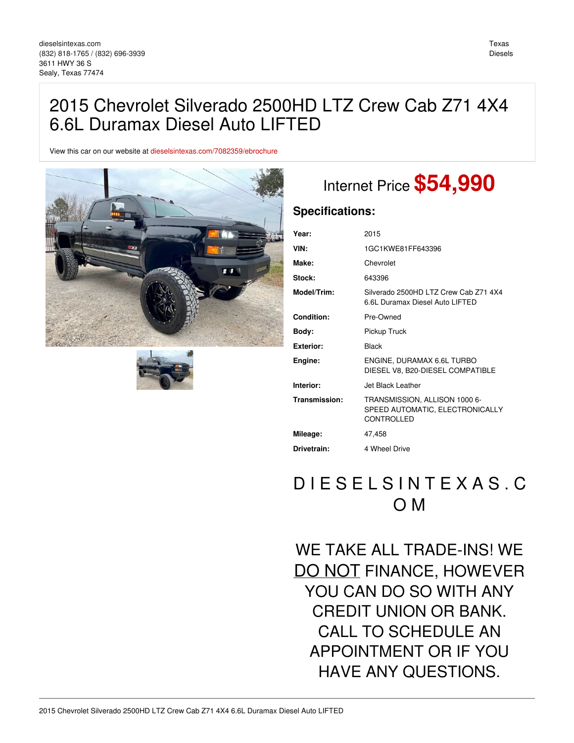View this car on our website at [dieselsintexas.com/7082359/ebrochure](https://dieselsintexas.com/vehicle/7082359/2015-chevrolet-silverado-2500hd-ltz-crew-cab-z71-4x4-6-6l-duramax-diesel-auto-lifted-sealy-texas-77474/7082359/ebrochure)





# Internet Price **\$54,990**

### **Specifications:**

| Year:         | 2015                                                                           |
|---------------|--------------------------------------------------------------------------------|
| VIN:          | 1GC1KWE81FF643396                                                              |
| Make:         | Chevrolet                                                                      |
| Stock:        | 643396                                                                         |
| Model/Trim:   | Silverado 2500HD LTZ Crew Cab Z71 4X4<br>6.6L Duramax Diesel Auto LIFTED       |
| Condition:    | Pre-Owned                                                                      |
| Body:         | Pickup Truck                                                                   |
| Exterior:     | Black                                                                          |
| Engine:       | ENGINE, DURAMAX 6.6L TURBO<br>DIESEL V8, B20-DIESEL COMPATIBLE                 |
| Interior:     | Jet Black Leather                                                              |
| Transmission: | TRANSMISSION, ALLISON 1000 6-<br>SPEED AUTOMATIC, ELECTRONICALLY<br>CONTROLLED |
| Mileage:      | 47.458                                                                         |
| Drivetrain:   | 4 Wheel Drive                                                                  |

## D I E S E L S I N T E X A S . C O M

WE TAKE ALL TRADE-INS! WE DO NOT FINANCE, HOWEVER YOU CAN DO SO WITH ANY CREDIT UNION OR BANK. CALL TO SCHEDULE AN APPOINTMENT OR IF YOU HAVE ANY QUESTIONS.

Texas Diesels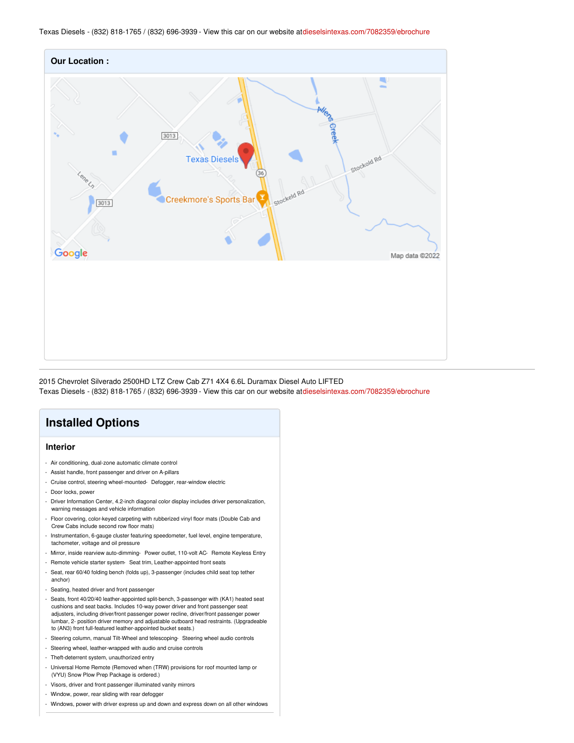

2015 Chevrolet Silverado 2500HD LTZ Crew Cab Z71 4X4 6.6L Duramax Diesel Auto LIFTED Texas Diesels - (832) 818-1765 / (832) 696-3939 - View this car on our website at[dieselsintexas.com/7082359/ebrochure](https://dieselsintexas.com/vehicle/7082359/2015-chevrolet-silverado-2500hd-ltz-crew-cab-z71-4x4-6-6l-duramax-diesel-auto-lifted-sealy-texas-77474/7082359/ebrochure)



- Steering column, manual Tilt-Wheel and telescoping- Steering wheel audio controls
- Steering wheel, leather-wrapped with audio and cruise controls
- Theft-deterrent system, unauthorized entry
- Universal Home Remote (Removed when (TRW) provisions for roof mounted lamp or (VYU) Snow Plow Prep Package is ordered.)
- Visors, driver and front passenger illuminated vanity mirrors
- Window, power, rear sliding with rear defogger
- Windows, power with driver express up and down and express down on all other windows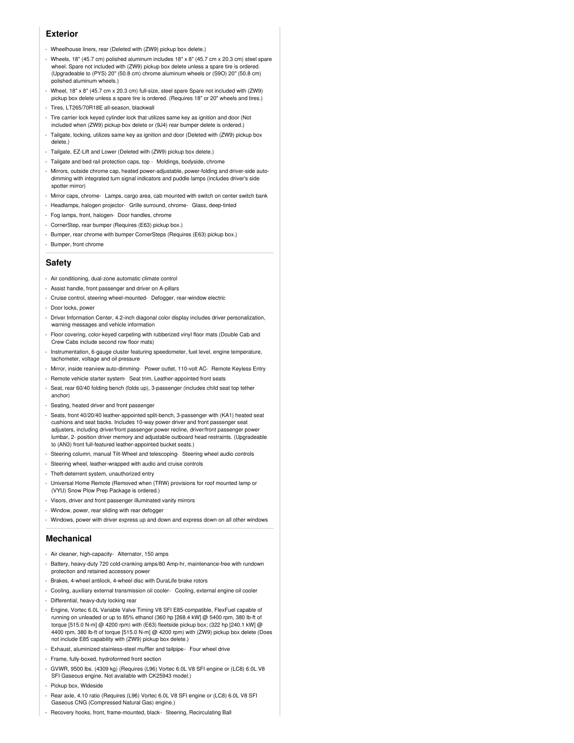#### **Exterior**

- Wheelhouse liners, rear (Deleted with (ZW9) pickup box delete.)
- Wheels, 18" (45.7 cm) polished aluminum includes 18" x 8" (45.7 cm x 20.3 cm) steel spare wheel. Spare not included with (ZW9) pickup box delete unless a spare tire is ordered. (Upgradeable to (PYS) 20" (50.8 cm) chrome aluminum wheels or (S9O) 20" (50.8 cm) polished aluminum wheels.)
- Wheel, 18" x 8" (45.7 cm x 20.3 cm) full-size, steel spare Spare not included with (ZW9) pickup box delete unless a spare tire is ordered. (Requires 18" or 20" wheels and tires.)
- Tires, LT265/70R18E all-season, blackwall
- Tire carrier lock keyed cylinder lock that utilizes same key as ignition and door (Not included when (ZW9) pickup box delete or (9J4) rear bumper delete is ordered.)
- Tailgate, locking, utilizes same key as ignition and door (Deleted with (ZW9) pickup box delete.)
- Tailgate, EZ-Lift and Lower (Deleted with (ZW9) pickup box delete.)
- Tailgate and bed rail protection caps, top Moldings, bodyside, chrome
- Mirrors, outside chrome cap, heated power-adjustable, power-folding and driver-side autodimming with integrated turn signal indicators and puddle lamps (includes driver's side spotter mirror)
- Mirror caps, chrome- Lamps, cargo area, cab mounted with switch on center switch bank
- Headlamps, halogen projector- Grille surround, chrome- Glass, deep-tinted
- Fog lamps, front, halogen- Door handles, chrome
- CornerStep, rear bumper (Requires (E63) pickup box.)
- Bumper, rear chrome with bumper CornerSteps (Requires (E63) pickup box.)
- Bumper, front chrome

#### **Safety**

- Air conditioning, dual-zone automatic climate control
- Assist handle, front passenger and driver on A-pillars
- Cruise control, steering wheel-mounted- Defogger, rear-window electric
- Door locks, power
- Driver Information Center, 4.2-inch diagonal color display includes driver personalization, warning messages and vehicle information
- Floor covering, color-keyed carpeting with rubberized vinyl floor mats (Double Cab and Crew Cabs include second row floor mats)
- Instrumentation, 6-gauge cluster featuring speedometer, fuel level, engine temperature, tachometer, voltage and oil pressure
- Mirror, inside rearview auto-dimming- Power outlet, 110-volt AC- Remote Keyless Entry
- Remote vehicle starter system- Seat trim, Leather-appointed front seats
- Seat, rear 60/40 folding bench (folds up), 3-passenger (includes child seat top tether anchor)
- Seating, heated driver and front passenger
- Seats, front 40/20/40 leather-appointed split-bench, 3-passenger with (KA1) heated seat cushions and seat backs. Includes 10-way power driver and front passenger seat adjusters, including driver/front passenger power recline, driver/front passenger power lumbar, 2- position driver memory and adjustable outboard head restraints. (Upgradeable to (AN3) front full-featured leather-appointed bucket seats.)
- Steering column, manual Tilt-Wheel and telescoping- Steering wheel audio controls
- Steering wheel, leather-wrapped with audio and cruise controls
- Theft-deterrent system, unauthorized entry
- Universal Home Remote (Removed when (TRW) provisions for roof mounted lamp or (VYU) Snow Plow Prep Package is ordered.)
- Visors, driver and front passenger illuminated vanity mirrors
- Window, power, rear sliding with rear defogger
- Windows, power with driver express up and down and express down on all other windows

#### **Mechanical**

- Air cleaner, high-capacity- Alternator, 150 amps
- Battery, heavy-duty 720 cold-cranking amps/80 Amp-hr, maintenance-free with rundown protection and retained accessory power
- Brakes, 4-wheel antilock, 4-wheel disc with DuraLife brake rotors
- Cooling, auxiliary external transmission oil cooler- Cooling, external engine oil cooler
- Differential, heavy-duty locking rear
- Engine, Vortec 6.0L Variable Valve Timing V8 SFI E85-compatible, FlexFuel capable of running on unleaded or up to 85% ethanol (360 hp [268.4 kW] @ 5400 rpm, 380 lb-ft of torque [515.0 N-m] @ 4200 rpm) with (E63) fleetside pickup box; (322 hp [240.1 kW] @ 4400 rpm, 380 lb-ft of torque [515.0 N-m] @ 4200 rpm) with (ZW9) pickup box delete (Does not include E85 capability with (ZW9) pickup box delete.)
- Exhaust, aluminized stainless-steel muffler and tailpipe- Four wheel drive
- Frame, fully-boxed, hydroformed front section
- GVWR, 9500 lbs. (4309 kg) (Requires (L96) Vortec 6.0L V8 SFI engine or (LC8) 6.0L V8 SFI Gaseous engine. Not available with CK25943 model.)
- Pickup box, Wideside
- Rear axle, 4.10 ratio (Requires (L96) Vortec 6.0L V8 SFI engine or (LC8) 6.0L V8 SFI Gaseous CNG (Compressed Natural Gas) engine.)
- Recovery hooks, front, frame-mounted, black- Steering, Recirculating Ball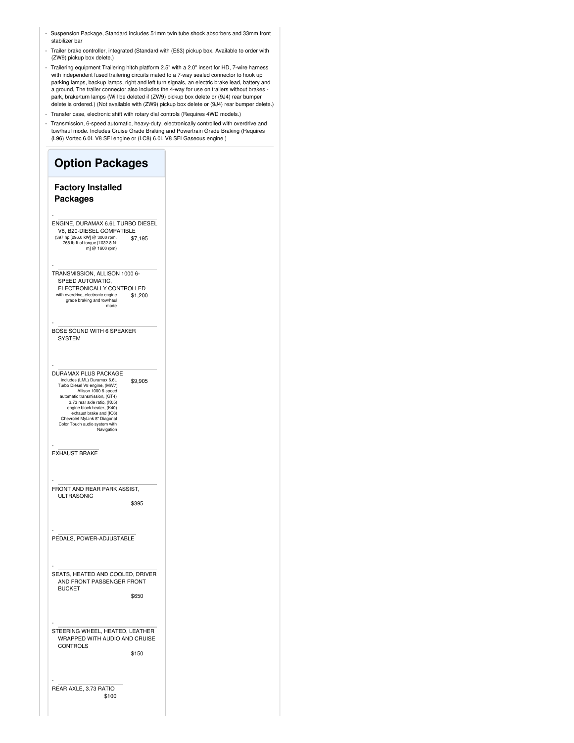- Suspension Package, Standard includes 51mm twin tube shock absorbers and 33mm front stabilizer bar
- Trailer brake controller, integrated (Standard with (E63) pickup box. Available to order with (ZW9) pickup box delete.)
- Trailering equipment Trailering hitch platform 2.5" with a 2.0" insert for HD, 7-wire harness with independent fused trailering circuits mated to a 7-way sealed connector to hook up parking lamps, backup lamps, right and left turn signals, an electric brake lead, battery and a ground, The trailer connector also includes the 4-way for use on trailers without brakes park, brake/turn lamps (Will be deleted if (ZW9) pickup box delete or (9J4) rear bumper delete is ordered.) (Not available with (ZW9) pickup box delete or (9J4) rear bumper delete.)
- Transfer case, electronic shift with rotary dial controls (Requires 4WD models.)
- Transmission, 6-speed automatic, heavy-duty, electronically controlled with overdrive and tow/haul mode. Includes Cruise Grade Braking and Powertrain Grade Braking (Requires (L96) Vortec 6.0L V8 SFI engine or (LC8) 6.0L V8 SFI Gaseous engine.)

| <b>Option Packages</b>                                                                                                                                                                                                                                                                                                          |
|---------------------------------------------------------------------------------------------------------------------------------------------------------------------------------------------------------------------------------------------------------------------------------------------------------------------------------|
| <b>Factory Installed</b><br><b>Packages</b>                                                                                                                                                                                                                                                                                     |
| ENGINE, DURAMAX 6.6L TURBO DIESEL<br>V8, B20-DIESEL COMPATIBLE<br>(397 hp [296.0 kW] @ 3000 rpm,<br>\$7,195<br>765 lb-ft of torque [1032.8 N-<br>m] @ 1600 rpm)                                                                                                                                                                 |
| TRANSMISSION, ALLISON 1000 6-<br>SPEED AUTOMATIC,<br>ELECTRONICALLY CONTROLLED<br>with overdrive, electronic engine<br>\$1,200<br>grade braking and tow/haul<br>mode                                                                                                                                                            |
| BOSE SOUND WITH 6 SPEAKER<br><b>SYSTEM</b>                                                                                                                                                                                                                                                                                      |
| DURAMAX PLUS PACKAGE<br>includes (LML) Duramax 6.6L<br>\$9,905<br>Turbo Diesel V8 engine, (MW7)<br>Allison 1000 6-speed<br>automatic transmission, (GT4)<br>3.73 rear axle ratio, (K05)<br>engine block heater, (K40)<br>exhaust brake and (IO6)<br>Chevrolet MyLink 8" Diagonal<br>Color Touch audio system with<br>Navigation |
| <b>EXHAUST BRAKE</b>                                                                                                                                                                                                                                                                                                            |
| FRONT AND REAR PARK ASSIST,<br>ULTRASONIC<br>\$395                                                                                                                                                                                                                                                                              |
| PEDALS, POWER-ADJUSTABLE                                                                                                                                                                                                                                                                                                        |
| SEATS, HEATED AND COOLED, DRIVER<br>AND FRONT PASSENGER FRONT<br><b>BUCKET</b><br>\$650                                                                                                                                                                                                                                         |
| STEERING WHEEL, HEATED, LEATHER<br>WRAPPED WITH AUDIO AND CRUISE<br><b>CONTROLS</b><br>\$150                                                                                                                                                                                                                                    |
| REAR AXLE, 3.73 RATIO<br>\$100                                                                                                                                                                                                                                                                                                  |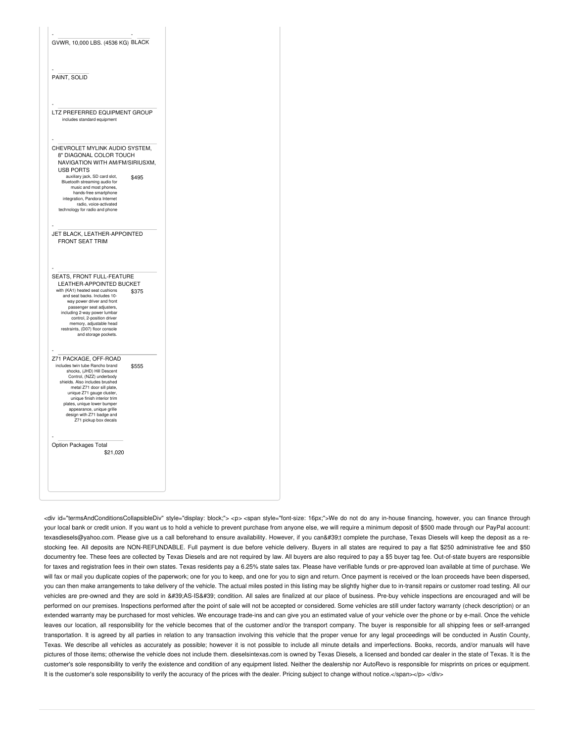| GVWR, 10,000 LBS. (4536 KG) BLACK                                                                                                                                                                                                                                                                                                                                |       |  |
|------------------------------------------------------------------------------------------------------------------------------------------------------------------------------------------------------------------------------------------------------------------------------------------------------------------------------------------------------------------|-------|--|
| PAINT, SOLID                                                                                                                                                                                                                                                                                                                                                     |       |  |
| LTZ PREFERRED EQUIPMENT GROUP<br>includes standard equipment                                                                                                                                                                                                                                                                                                     |       |  |
| CHEVROLET MYLINK AUDIO SYSTEM,<br>8" DIAGONAL COLOR TOUCH<br>NAVIGATION WITH AM/FM/SIRIUSXM,<br><b>USB PORTS</b><br>auxiliary jack, SD card slot,<br>Bluetooth streaming audio for<br>music and most phones,<br>hands-free smartphone                                                                                                                            | \$495 |  |
| integration, Pandora Internet<br>radio, voice-activated<br>technology for radio and phone<br>JET BLACK, LEATHER-APPOINTED                                                                                                                                                                                                                                        |       |  |
| <b>FRONT SEAT TRIM</b><br>SEATS, FRONT FULL-FEATURE<br>LEATHER-APPOINTED BUCKET<br>with (KA1) heated seat cushions                                                                                                                                                                                                                                               | \$375 |  |
| and seat backs. Includes 10-<br>way power driver and front<br>passenger seat adjusters.<br>including 2-way power lumbar<br>control, 2-position driver<br>memory, adjustable head<br>restraints, (D07) floor console<br>and storage pockets.                                                                                                                      |       |  |
| Z71 PACKAGE, OFF-ROAD<br>includes twin tube Rancho brand<br>shocks, (JHD) Hill Descent<br>Control, (NZZ) underbody<br>shields. Also includes brushed<br>metal Z71 door sill plate,<br>unique Z71 gauge cluster,<br>unique finish interior trim<br>plates, unique lower bumper<br>appearance, unique grille<br>design with Z71 badge and<br>Z71 pickup box decals | \$555 |  |
| Option Packages Total<br>\$21,020                                                                                                                                                                                                                                                                                                                                |       |  |

<div id="termsAndConditionsCollapsibleDiv" style="display: block;"> <p> <span style="font-size: 16px;">We do not do any in-house financing, however, you can finance through your local bank or credit union. If you want us to hold a vehicle to prevent purchase from anyone else, we will require a minimum deposit of \$500 made through our PayPal account: texasdiesels@yahoo.com. Please give us a call beforehand to ensure availability. However, if you can't complete the purchase, Texas Diesels will keep the deposit as a restocking fee. All deposits are NON-REFUNDABLE. Full payment is due before vehicle delivery. Buyers in all states are required to pay a flat \$250 administrative fee and \$50 documentry fee. These fees are collected by Texas Diesels and are not required by law. All buyers are also required to pay a \$5 buyer tag fee. Out-of-state buyers are responsible for taxes and registration fees in their own states. Texas residents pay a 6.25% state sales tax. Please have verifiable funds or pre-approved loan available at time of purchase. We will fax or mail you duplicate copies of the paperwork; one for you to keep, and one for you to sign and return. Once payment is received or the loan proceeds have been dispersed, you can then make arrangements to take delivery of the vehicle. The actual miles posted in this listing may be slightly higher due to in-transit repairs or customer road testing. All our vehicles are pre-owned and they are sold in 'AS-IS' condition. All sales are finalized at our place of business. Pre-buy vehicle inspections are encouraged and will be performed on our premises. Inspections performed after the point of sale will not be accepted or considered. Some vehicles are still under factory warranty (check description) or an extended warranty may be purchased for most vehicles. We encourage trade-ins and can give you an estimated value of your vehicle over the phone or by e-mail. Once the vehicle leaves our location, all responsibility for the vehicle becomes that of the customer and/or the transport company. The buyer is responsible for all shipping fees or self-arranged transportation. It is agreed by all parties in relation to any transaction involving this vehicle that the proper venue for any legal proceedings will be conducted in Austin County, Texas. We describe all vehicles as accurately as possible; however it is not possible to include all minute details and imperfections. Books, records, and/or manuals will have pictures of those items; otherwise the vehicle does not include them. dieselsintexas.com is owned by Texas Diesels, a licensed and bonded car dealer in the state of Texas. It is the customer's sole responsibility to verify the existence and condition of any equipment listed. Neither the dealership nor AutoRevo is responsible for misprints on prices or equipment. It is the customer's sole responsibility to verify the accuracy of the prices with the dealer. Pricing subject to change without notice.</span></p></div>